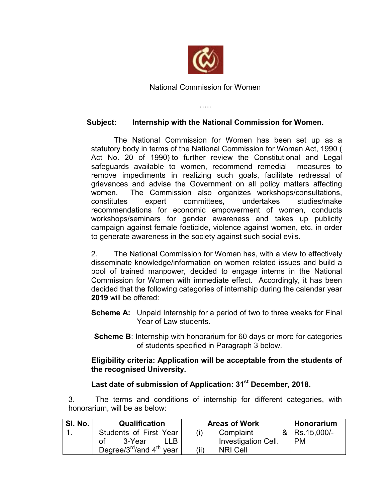

National Commission for Women

…..

## **Subject: Internship with the National Commission for Women.**

The National Commission for Women has been set up as a statutory body in terms of the National Commission for Women Act, 1990 ( Act No. 20 of 1990) to further review the Constitutional and Legal safeguards available to women, recommend remedial measures to remove impediments in realizing such goals, facilitate redressal of grievances and advise the Government on all policy matters affecting women. The Commission also organizes workshops/consultations, constitutes expert committees, undertakes studies/make recommendations for economic empowerment of women, conducts workshops/seminars for gender awareness and takes up publicity campaign against female foeticide, violence against women, etc. in order to generate awareness in the society against such social evils.

2. The National Commission for Women has, with a view to effectively disseminate knowledge/information on women related issues and build a pool of trained manpower, decided to engage interns in the National Commission for Women with immediate effect. Accordingly, it has been decided that the following categories of internship during the calendar year **2019** will be offered:

- **Scheme A:** Unpaid Internship for a period of two to three weeks for Final Year of Law students.
- **Scheme B**: Internship with honorarium for 60 days or more for categories of students specified in Paragraph 3 below.

## **Eligibility criteria: Application will be acceptable from the students of the recognised University.**

## **Last date of submission of Application: 31st December, 2018.**

3. The terms and conditions of internship for different categories, with honorarium, will be as below:

| SI. No. | Qualification                                     | <b>Areas of Work</b>       | Honorarium        |
|---------|---------------------------------------------------|----------------------------|-------------------|
|         | Students of First Year                            | Complaint                  | $\&$ Rs. 15,000/- |
|         | 3-Year<br>Ωt                                      | <b>Investigation Cell.</b> | <b>PM</b>         |
|         | Degree/ $3^{\text{rd}}$ /and $4^{\text{th}}$ year | (ii)<br><b>NRI Cell</b>    |                   |